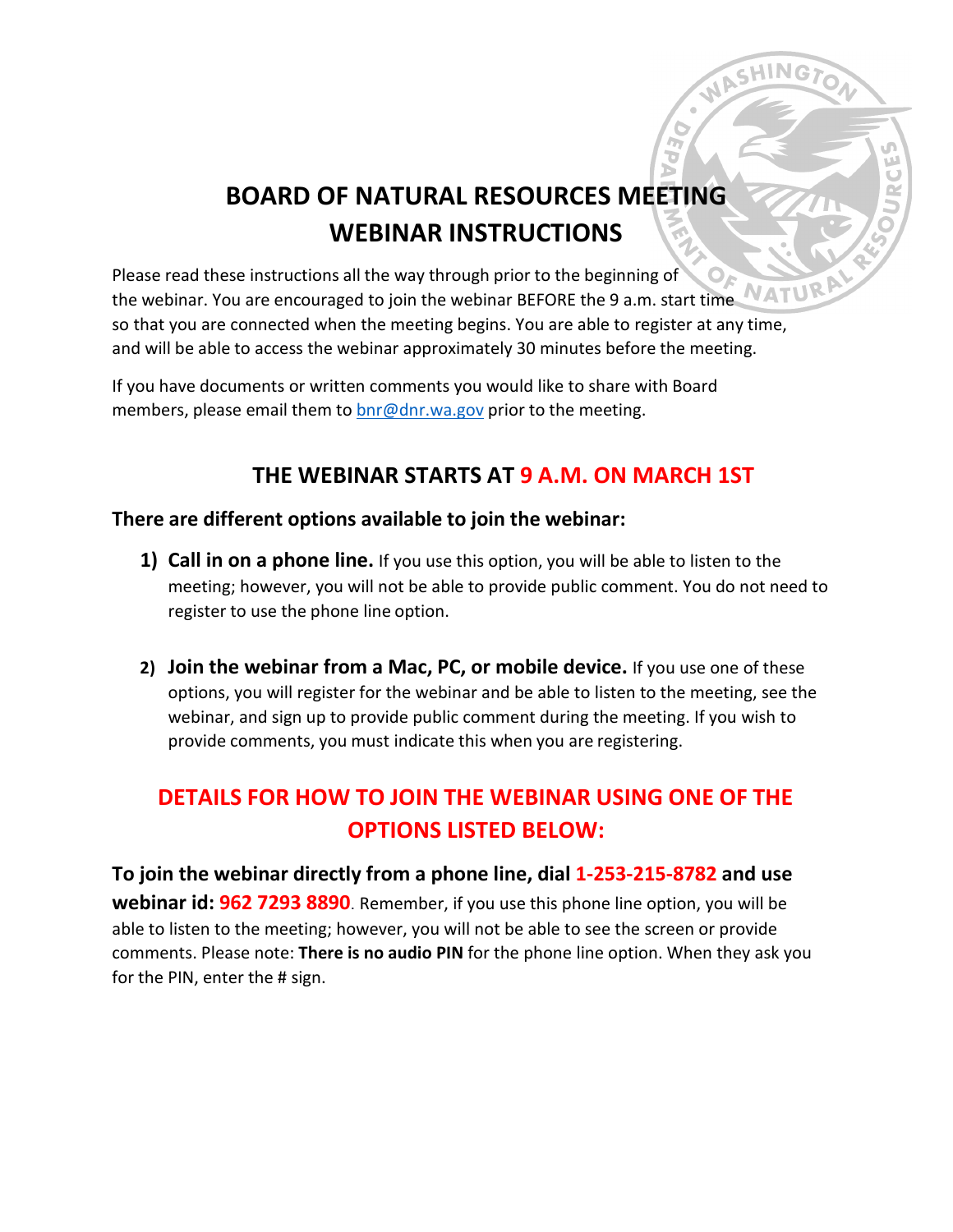# **BOARD OF NATURAL RESOURCES MEETING WEBINAR INSTRUCTIONS**

**CHING** 

Please read these instructions all the way through prior to the beginning of **NATUV** the webinar. You are encouraged to join the webinar BEFORE the 9 a.m. start time so that you are connected when the meeting begins. You are able to register at any time, and will be able to access the webinar approximately 30 minutes before the meeting.

If you have documents or written comments you would like to share with Board members, please email them to [bnr@dnr.wa.gov](mailto:bnr@dnr.wa.gov) prior to the meeting.

## **THE WEBINAR STARTS AT 9 A.M. ON MARCH 1ST**

#### **There are different options available to join the webinar:**

- **1) Call in on a phone line.** If you use this option, you will be able to listen to the meeting; however, you will not be able to provide public comment. You do not need to register to use the phone line option.
- **2) Join the webinar from a Mac, PC, or mobile device.** If you use one of these options, you will register for the webinar and be able to listen to the meeting, see the webinar, and sign up to provide public comment during the meeting. If you wish to provide comments, you must indicate this when you are registering.

# **DETAILS FOR HOW TO JOIN THE WEBINAR USING ONE OF THE OPTIONS LISTED BELOW:**

**To join the webinar directly from a phone line, dial 1-253-215-8782 and use webinar id: 962 7293 8890**. Remember, if you use this phone line option, you will be able to listen to the meeting; however, you will not be able to see the screen or provide comments. Please note: **There is no audio PIN** for the phone line option. When they ask you for the PIN, enter the # sign.